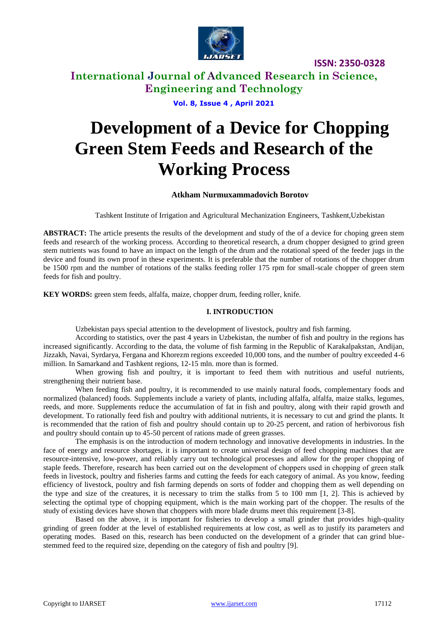

## **International Journal of Advanced Research in Science, Engineering and Technology**

**Vol. 8, Issue 4 , April 2021**

# **Development of a Device for Chopping Green Stem Feeds and Research of the Working Process**

### **Atkham Nurmuxammadovich Borotov**

Tashkent Institute of Irrigation and Agricultural Mechanization Engineers, Tashkent,Uzbekistan

**ABSTRACT:** The article presents the results of the development and study of the of a device for choping green stem feeds and research of the working process. According to theoretical research, a drum chopper designed to grind green stem nutrients was found to have an impact on the length of the drum and the rotational speed of the feeder jugs in the device and found its own proof in these experiments. It is preferable that the number of rotations of the chopper drum be 1500 rpm and the number of rotations of the stalks feeding roller 175 rpm for small-scale chopper of green stem feeds for fish and poultry.

**KEY WORDS:** green stem feeds, alfalfa, maize, chopper drum, feeding roller, knife.

### **I. INTRODUCTION**

Uzbekistan pays special attention to the development of livestock, poultry and fish farming.

According to statistics, over the past 4 years in Uzbekistan, the number of fish and poultry in the regions has increased significantly. According to the data, the volume of fish farming in the Republic of Karakalpakstan, Andijan, Jizzakh, Navai, Syrdarya, Fergana and Khorezm regions exceeded 10,000 tons, and the number of poultry exceeded 4-6 million. In Samarkand and Tashkent regions, 12-15 mln. more than is formed.

When growing fish and poultry, it is important to feed them with nutritious and useful nutrients, strengthening their nutrient base.

When feeding fish and poultry, it is recommended to use mainly natural foods, complementary foods and normalized (balanced) foods. Supplements include a variety of plants, including alfalfa, alfalfa, maize stalks, legumes, reeds, and more. Supplements reduce the accumulation of fat in fish and poultry, along with their rapid growth and development. To rationally feed fish and poultry with additional nutrients, it is necessary to cut and grind the plants. It is recommended that the ration of fish and poultry should contain up to 20-25 percent, and ration of herbivorous fish and poultry should contain up to 45-50 percent of rations made of green grasses.

The emphasis is on the introduction of modern technology and innovative developments in industries. In the face of energy and resource shortages, it is important to create universal design of feed chopping machines that are resource-intensive, low-power, and reliably carry out technological processes and allow for the proper chopping of staple feeds. Therefore, research has been carried out on the development of choppers used in chopping of green stаlk feeds in livestock, poultry and fisheries farms and cutting the feeds for each category of animal. As you know, feeding efficiency of livestock, poultry and fish farming depends on sorts of fodder and chopping them as well depending on the type and size of the creatures, it is necessary to trim the stalks from 5 to 100 mm [1, 2]. This is achieved by selecting the optimal type of chopping equipment, which is the main working part of the chopper. The results of the study of existing devices have shown that choppers with more blade drums meet this requirement [3-8].

Based on the above, it is important for fisheries to develop a small grinder that provides high-quality grinding of green fodder at the level of established requirements at low cost, as well as to justify its parameters and operating modes. Based on this, research has been conducted on the development of a grinder that can grind bluestemmed feed to the required size, depending on the category of fish and poultry [9].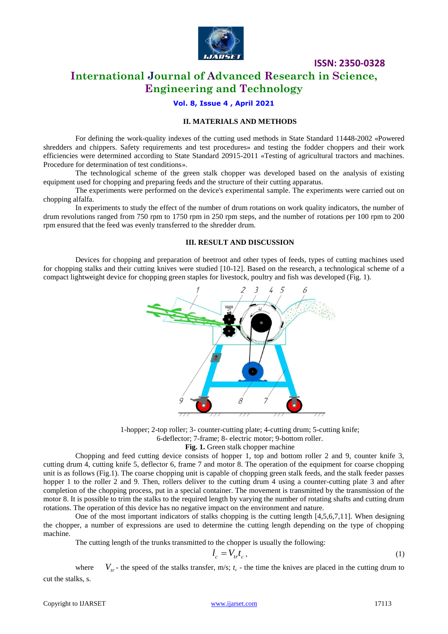

## **International Journal of Advanced Research in Science, Engineering and Technology**

### **Vol. 8, Issue 4 , April 2021**

### **II. MATERIALS AND METHODS**

For defining the work-quality indexes of the cutting used methods in State Standard 11448-2002 «Powered shredders and chippers. Safety requirements and test procedures» and testing the fodder choppers and their work efficiencies were determined according to State Standard 20915-2011 «Testing of agricultural tractors and machines. Procedure for determination of test conditions».

The technological scheme of the green stalk chopper was developed based on the analysis of existing equipment used for chopping and preparing feeds and the structure of their cutting apparatus.

The experiments were performed on the device's experimental sample. The experiments were carried out on chopping alfalfa.

In experiments to study the effect of the number of drum rotations on work quality indicators, the number of drum revolutions ranged from 750 rpm to 1750 rpm in 250 rpm steps, and the number of rotations per 100 rpm to 200 rpm ensured that the feed was evenly transferred to the shredder drum.

### **III. RESULT AND DISCUSSION**

Devices for chopping and preparation of beetroot and other types of feeds, types of cutting machines used for chopping stalks and their cutting knives were studied [10-12]. Based on the research, a technological scheme of a compact lightweight device for chopping green staples for livestock, poultry and fish was developed (Fig. 1).



1-hopper; 2-top roller; 3- counter-cutting plate; 4-cutting drum; 5-cutting knife; 6-deflector; 7-frame; 8- electric motor; 9-bottom roller.

Fig. 1. Green stalk chopper machine

Chopping and feed cutting device consists of hopper 1, top and bottom roller 2 and 9, counter knife 3, cutting drum 4, cutting knife 5, deflector 6, frame 7 and motor 8. The operation of the equipment for coarse chopping unit is as follows (Fig.1). The coarse chopping unit is capable of chopping green stalk feeds, and the stalk feeder passes hopper 1 to the roller 2 and 9. Then, rollers deliver to the cutting drum 4 using a counter-cutting plate 3 and after completion of the chopping process, put in a special container. The movement is transmitted by the transmission of the motor 8. It is possible to trim the stalks to the required length by varying the number of rotating shafts and cutting drum rotations. The operation of this device has no negative impact on the environment and nature.

One of the most important indicators of stalks chopping is the cutting length [4,5,6,7,11]. When designing the chopper, a number of expressions are used to determine the cutting length depending on the type of chopping machine.

The cutting length of the trunks transmitted to the chopper is usually the following:

$$
l_c = V_{tr} t_c, \t\t(1)
$$

where  $V_{tr}$  - the speed of the stalks transfer, m/s;  $t_c$  - the time the knives are placed in the cutting drum to cut the stalks, s.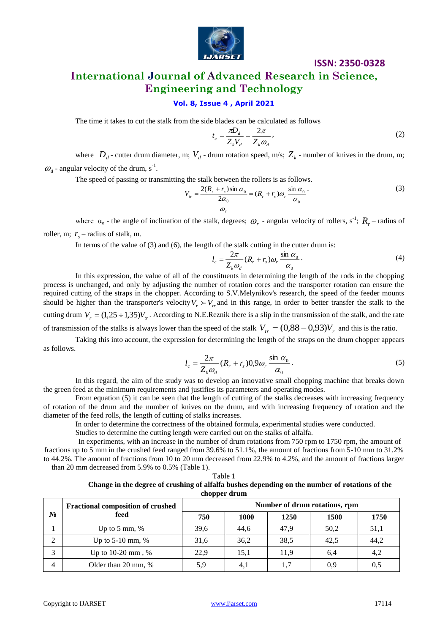

# **International Journal of Advanced Research in Science, Engineering and Technology**

### **Vol. 8, Issue 4 , April 2021**

The time it takes to cut the stalk from the side blades can be calculated as follows

$$
t_c = \frac{\pi D_d}{Z_k V_d} = \frac{2\pi}{Z_k \omega_d},\tag{2}
$$

where  $D_d$ - cutter drum diameter, m;  $V_d$ - drum rotation speed, m/s;  $Z_k$ - number of knives in the drum, m;  $\omega_d$  - angular velocity of the drum, s<sup>-1</sup>.

The speed of passing or transmitting the stalk between the rollers is as follows.

$$
V_{tr} = \frac{2(R_r + r_s)\sin\alpha_0}{\frac{2\alpha_0}{\omega_r}} = (R_r + r_s)\omega_r \frac{\sin\alpha_0}{\alpha_0}.
$$
 (3)

where  $\alpha_0$  - the angle of inclination of the stalk, degrees;  $\omega_r$  - angular velocity of rollers, s<sup>-1</sup>;  $R_r$  – radius of roller, m;  $r_s$  – radius of stalk, m.

In terms of the value of  $(3)$  and  $(6)$ , the length of the stalk cutting in the cutter drum is:

$$
l_c = \frac{2\pi}{Z_k \omega_d} (R_r + r_s) \omega_r \frac{\sin \alpha_0}{\alpha_0}.
$$
 (4)

In this expression, the value of all of the constituents in determining the length of the rods in the chopping process is unchanged, and only by adjusting the number of rotation cores and the transporter rotation can ensure the required cutting of the straps in the chopper. According to S.V.Melynikov's research, the speed of the feeder mounts should be higher than the transporter's velocity  $V_r \succ V_t$  and in this range, in order to better transfer the stalk to the cutting drum  $V_r = (1,25 \div 1,35)V_{tr}$ . According to N.E.Reznik there is a slip in the transmission of the stalk, and the rate

of transmission of the stalks is always lower than the speed of the stalk  $V_{tr} = (0.88 - 0.93)V_r$  and this is the ratio.

Taking this into account, the expression for determining the length of the straps on the drum chopper appears as follows.

$$
l_c = \frac{2\pi}{Z_k \omega_d} (R_r + r_s) 0.9 \omega_r \frac{\sin \alpha_0}{\alpha_0}.
$$
 (5)

In this regard, the aim of the study was to develop an innovative small chopping machine that breaks down the green feed at the minimum requirements and justifies its parameters and operating modes.

From equation (5) it can be seen that the length of cutting of the stalks decreases with increasing frequency of rotation of the drum and the number of knives on the drum, and with increasing frequency of rotation and the diameter of the feed rolls, the length of cutting of stalks increases.

In order to determine the correctness of the obtained formula, experimental studies were conducted.

Studies to determine the cutting length were carried out on the stalks of alfalfa.

In experiments, with an increase in the number of drum rotations from 750 rpm to 1750 rpm, the amount of fractions up to 5 mm in the crushed feed ranged from 39.6% to 51.1%, the amount of fractions from 5-10 mm to 31.2% to 44.2%. The amount of fractions from 10 to 20 mm decreased from 22.9% to 4.2%, and the amount of fractions larger than 20 mm decreased from 5.9% to 0.5% (Table 1).

Table 1

|                                                                                                | 1400 L       |  |  |
|------------------------------------------------------------------------------------------------|--------------|--|--|
| Change in the degree of crushing of alfalfa bushes depending on the number of rotations of the |              |  |  |
|                                                                                                | chopper drum |  |  |
|                                                                                                |              |  |  |

|                | <b>Fractional composition of crushed</b><br>feed | Number of drum rotations, rpm |             |      |      |      |  |
|----------------|--------------------------------------------------|-------------------------------|-------------|------|------|------|--|
| $N_2$          |                                                  | 750                           | <b>1000</b> | 1250 | 1500 | 1750 |  |
|                | Up to 5 mm, $%$                                  | 39,6                          | 44.6        | 47.9 | 50,2 | 51,1 |  |
| $\overline{2}$ | Up to $5-10$ mm, %                               | 31,6                          | 36,2        | 38.5 | 42.5 | 44,2 |  |
| 3              | Up to $10-20$ mm, %                              | 22,9                          | 15.1        | 11.9 | 6.4  | 4,2  |  |
| $\overline{4}$ | Older than 20 mm, %                              | 5,9                           | 4,1         |      | 0,9  | 0,5  |  |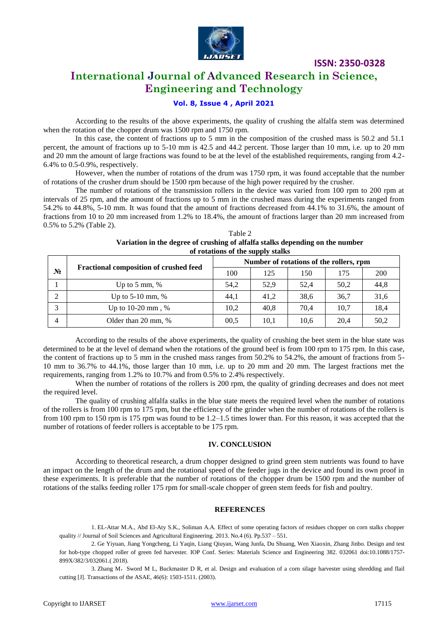

# **International Journal of Advanced Research in Science, Engineering and Technology**

### **Vol. 8, Issue 4 , April 2021**

According to the results of the above experiments, the quality of crushing the alfalfa stem was determined when the rotation of the chopper drum was 1500 rpm and 1750 rpm.

In this case, the content of fractions up to 5 mm in the composition of the crushed mass is 50.2 and 51.1 percent, the amount of fractions up to 5-10 mm is 42.5 and 44.2 percent. Those larger than 10 mm, i.e. up to 20 mm and 20 mm the amount of large fractions was found to be at the level of the established requirements, ranging from 4.2- 6.4% to 0.5-0.9%, respectively.

However, when the number of rotations of the drum was 1750 rpm, it was found acceptable that the number of rotations of the crusher drum should be 1500 rpm because of the high power required by the crusher.

The number of rotations of the transmission rollers in the device was varied from 100 rpm to 200 rpm at intervals of 25 rpm, and the amount of fractions up to 5 mm in the crushed mass during the experiments ranged from 54.2% to 44.8%, 5-10 mm. It was found that the amount of fractions decreased from 44.1% to 31.6%, the amount of fractions from 10 to 20 mm increased from 1.2% to 18.4%, the amount of fractions larger than 20 mm increased from 0.5% to 5.2% (Table 2).

| Table 2                                                                       |
|-------------------------------------------------------------------------------|
| Variation in the degree of crushing of alfalfa stalks depending on the number |
| of rotations of the supply stalks                                             |

|    | <b>Fractional composition of crushed feed</b> | Number of rotations of the rollers, rpm |      |      |      |      |
|----|-----------------------------------------------|-----------------------------------------|------|------|------|------|
| N° |                                               | 100                                     | 125  | 150  | 175  | 200  |
|    | Up to 5 mm, $%$                               | 54,2                                    | 52,9 | 52.4 | 50,2 | 44,8 |
|    | Up to $5-10$ mm, %                            | 44.1                                    | 41.2 | 38,6 | 36,7 | 31,6 |
|    | Up to $10-20$ mm, %                           | 10.2                                    | 40,8 | 70.4 | 10.7 | 18,4 |
| 4  | Older than 20 mm, %                           | 00.5                                    | 10,1 | 10,6 | 20.4 | 50,2 |

According to the results of the above experiments, the quality of crushing the beet stem in the blue state was determined to be at the level of demand when the rotations of the ground beef is from 100 rpm to 175 rpm. In this case, the content of fractions up to 5 mm in the crushed mass ranges from 50.2% to 54.2%, the amount of fractions from 5- 10 mm to 36.7% to 44.1%, those larger than 10 mm, i.e. up to 20 mm and 20 mm. The largest fractions met the requirements, ranging from 1.2% to 10.7% and from 0.5% to 2.4% respectively.

When the number of rotations of the rollers is 200 rpm, the quality of grinding decreases and does not meet the required level.

The quality of crushing alfalfa stalks in the blue state meets the required level when the number of rotations of the rollers is from 100 rpm to 175 rpm, but the efficiency of the grinder when the number of rotations of the rollers is from 100 rpm to 150 rpm is 175 rpm was found to be 1.2–1.5 times lower than. For this reason, it was accepted that the number of rotations of feeder rollers is acceptable to be 175 rpm.

### **IV. CONCLUSION**

According to theoretical research, a drum chopper designed to grind green stem nutrients was found to have an impact on the length of the drum and the rotational speed of the feeder jugs in the device and found its own proof in these experiments. It is preferable that the number of rotations of the chopper drum be 1500 rpm and the number of rotations of the stalks feeding roller 175 rpm for small-scale chopper of green stem feeds for fish and poultry.

#### **REFERENCES**

1. EL-Attar M.A., Abd El-Aty S.K., Soliman A.A*.* Effect of some operating factors of residues chopper on corn stalks chopper quality // Journal of Soil Sciences and Agricultural Engineering*.* 2013. No.4 (6). Pp.537 – 551.

2. Ge Yiyuan, Jiang Yongcheng, Li Yaqin, Liang Qiuyan, Wang Junfa, Du Shuang, Wen Xiaoxin, Zhang Jinbo. Design and test for hob-type chopped roller of green fed harvester. IOP Conf. Series: Materials Science and Engineering 382. 032061 doi:10.1088/1757- 899X/382/3/032061.( 2018).

3. Zhang M, Sword M L, Buckmaster D R, et al. Design and evaluation of a corn silage harvester using shredding and flail cutting [J]. Transactions of the ASAE, 46(6): 1503-1511. (2003).